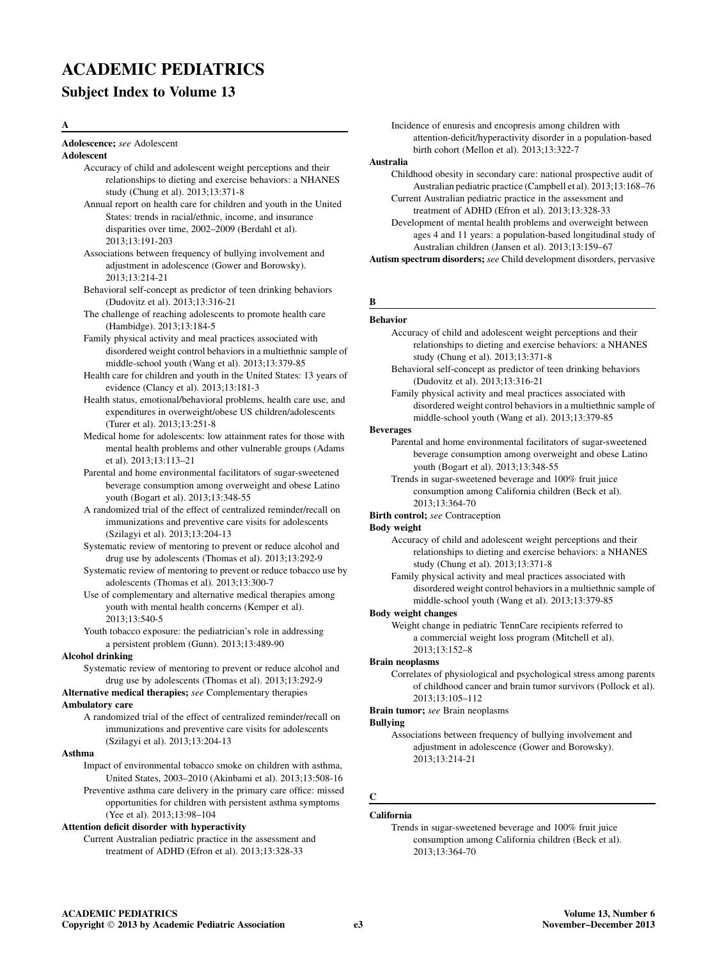# ACADEMIC PEDIATRICS

# Subject Index to Volume 13

## A

Adolescence; see Adolescent

## Adolescent

- Accuracy of child and adolescent weight perceptions and their relationships to dieting and exercise behaviors: a NHANES study (Chung et al). 2013;13:371-8
- Annual report on health care for children and youth in the United States: trends in racial/ethnic, income, and insurance disparities over time, 2002–2009 (Berdahl et al). 2013;13:191-203
- Associations between frequency of bullying involvement and adjustment in adolescence (Gower and Borowsky). 2013;13:214-21
- Behavioral self-concept as predictor of teen drinking behaviors (Dudovitz et al). 2013;13:316-21
- The challenge of reaching adolescents to promote health care (Hambidge). 2013;13:184-5
- Family physical activity and meal practices associated with disordered weight control behaviors in a multiethnic sample of middle-school youth (Wang et al). 2013;13:379-85
- Health care for children and youth in the United States: 13 years of evidence (Clancy et al). 2013;13:181-3
- Health status, emotional/behavioral problems, health care use, and expenditures in overweight/obese US children/adolescents (Turer et al). 2013;13:251-8
- Medical home for adolescents: low attainment rates for those with mental health problems and other vulnerable groups (Adams et al). 2013;13:113–21
- Parental and home environmental facilitators of sugar-sweetened beverage consumption among overweight and obese Latino youth (Bogart et al). 2013;13:348-55
- A randomized trial of the effect of centralized reminder/recall on immunizations and preventive care visits for adolescents (Szilagyi et al). 2013;13:204-13
- Systematic review of mentoring to prevent or reduce alcohol and drug use by adolescents (Thomas et al). 2013;13:292-9
- Systematic review of mentoring to prevent or reduce tobacco use by adolescents (Thomas et al). 2013;13:300-7
- Use of complementary and alternative medical therapies among youth with mental health concerns (Kemper et al). 2013;13:540-5
- Youth tobacco exposure: the pediatrician's role in addressing a persistent problem (Gunn). 2013;13:489-90

## Alcohol drinking

Systematic review of mentoring to prevent or reduce alcohol and drug use by adolescents (Thomas et al). 2013;13:292-9

# Alternative medical therapies; see Complementary therapies

# Ambulatory care

A randomized trial of the effect of centralized reminder/recall on immunizations and preventive care visits for adolescents (Szilagyi et al). 2013;13:204-13

# Asthma

- Impact of environmental tobacco smoke on children with asthma, United States, 2003–2010 (Akinbami et al). 2013;13:508-16
- Preventive asthma care delivery in the primary care office: missed opportunities for children with persistent asthma symptoms (Yee et al). 2013;13:98–104

# Attention deficit disorder with hyperactivity

Current Australian pediatric practice in the assessment and treatment of ADHD (Efron et al). 2013;13:328-33

Incidence of enuresis and encopresis among children with attention-deficit/hyperactivity disorder in a population-based birth cohort (Mellon et al). 2013;13:322-7

# Australia

- Childhood obesity in secondary care: national prospective audit of Australian pediatric practice (Campbell et al). 2013;13:168–76 Current Australian pediatric practice in the assessment and
- treatment of ADHD (Efron et al). 2013;13:328-33 Development of mental health problems and overweight between ages 4 and 11 years: a population-based longitudinal study of Australian children (Jansen et al). 2013;13:159–67

Autism spectrum disorders; see Child development disorders, pervasive

# B

## Behavior

- Accuracy of child and adolescent weight perceptions and their relationships to dieting and exercise behaviors: a NHANES study (Chung et al). 2013;13:371-8
- Behavioral self-concept as predictor of teen drinking behaviors (Dudovitz et al). 2013;13:316-21
- Family physical activity and meal practices associated with disordered weight control behaviors in a multiethnic sample of middle-school youth (Wang et al). 2013;13:379-85

## Beverages

- Parental and home environmental facilitators of sugar-sweetened beverage consumption among overweight and obese Latino youth (Bogart et al). 2013;13:348-55
- Trends in sugar-sweetened beverage and 100% fruit juice consumption among California children (Beck et al). 2013;13:364-70
- Birth control; see Contraception

## Body weight

- Accuracy of child and adolescent weight perceptions and their relationships to dieting and exercise behaviors: a NHANES study (Chung et al). 2013;13:371-8
- Family physical activity and meal practices associated with disordered weight control behaviors in a multiethnic sample of middle-school youth (Wang et al). 2013;13:379-85

# Body weight changes

Weight change in pediatric TennCare recipients referred to a commercial weight loss program (Mitchell et al). 2013;13:152–8

## Brain neoplasms

Correlates of physiological and psychological stress among parents of childhood cancer and brain tumor survivors (Pollock et al). 2013;13:105–112

Brain tumor; see Brain neoplasms

# Bullying

Associations between frequency of bullying involvement and adjustment in adolescence (Gower and Borowsky). 2013;13:214-21

# C

# California

Trends in sugar-sweetened beverage and 100% fruit juice consumption among California children (Beck et al). 2013;13:364-70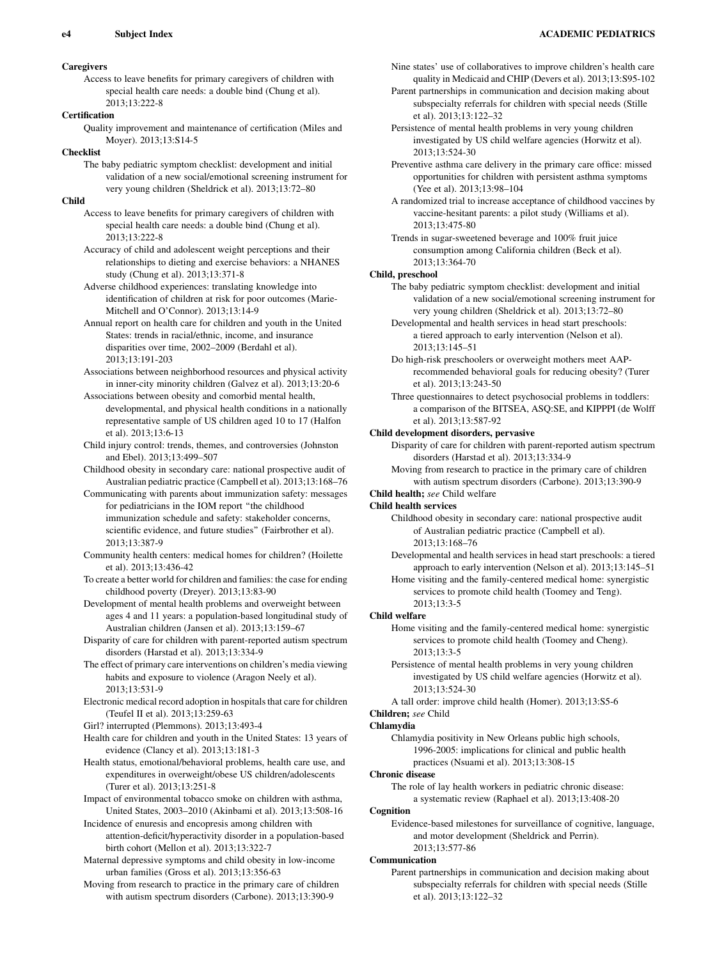# **Caregivers**

Access to leave benefits for primary caregivers of children with special health care needs: a double bind (Chung et al). 2013;13:222-8

## **Certification**

Quality improvement and maintenance of certification (Miles and Moyer). 2013;13:S14-5

# Checklist

The baby pediatric symptom checklist: development and initial validation of a new social/emotional screening instrument for very young children (Sheldrick et al). 2013;13:72–80

## Child

Access to leave benefits for primary caregivers of children with special health care needs: a double bind (Chung et al).  $2013:13:222-8$ 

- Accuracy of child and adolescent weight perceptions and their relationships to dieting and exercise behaviors: a NHANES study (Chung et al). 2013;13:371-8
- Adverse childhood experiences: translating knowledge into identification of children at risk for poor outcomes (Marie-Mitchell and O'Connor). 2013;13:14-9
- Annual report on health care for children and youth in the United States: trends in racial/ethnic, income, and insurance disparities over time, 2002–2009 (Berdahl et al). 2013;13:191-203
- Associations between neighborhood resources and physical activity in inner-city minority children (Galvez et al). 2013;13:20-6
- Associations between obesity and comorbid mental health, developmental, and physical health conditions in a nationally representative sample of US children aged 10 to 17 (Halfon et al). 2013;13:6-13
- Child injury control: trends, themes, and controversies (Johnston and Ebel). 2013;13:499–507
- Childhood obesity in secondary care: national prospective audit of Australian pediatric practice (Campbell et al). 2013;13:168–76
- Communicating with parents about immunization safety: messages for pediatricians in the IOM report ''the childhood immunization schedule and safety: stakeholder concerns, scientific evidence, and future studies'' (Fairbrother et al). 2013;13:387-9
- Community health centers: medical homes for children? (Hoilette et al). 2013;13:436-42
- To create a better world for children and families: the case for ending childhood poverty (Dreyer). 2013;13:83-90
- Development of mental health problems and overweight between ages 4 and 11 years: a population-based longitudinal study of Australian children (Jansen et al). 2013;13:159–67
- Disparity of care for children with parent-reported autism spectrum disorders (Harstad et al). 2013;13:334-9
- The effect of primary care interventions on children's media viewing habits and exposure to violence (Aragon Neely et al). 2013;13:531-9
- Electronic medical record adoption in hospitals that care for children (Teufel II et al). 2013;13:259-63

Girl? interrupted (Plemmons). 2013;13:493-4

Health care for children and youth in the United States: 13 years of evidence (Clancy et al). 2013;13:181-3

- Health status, emotional/behavioral problems, health care use, and expenditures in overweight/obese US children/adolescents (Turer et al). 2013;13:251-8
- Impact of environmental tobacco smoke on children with asthma, United States, 2003–2010 (Akinbami et al). 2013;13:508-16
- Incidence of enuresis and encopresis among children with attention-deficit/hyperactivity disorder in a population-based birth cohort (Mellon et al). 2013;13:322-7

Maternal depressive symptoms and child obesity in low-income urban families (Gross et al). 2013;13:356-63

Moving from research to practice in the primary care of children with autism spectrum disorders (Carbone). 2013;13:390-9

Nine states' use of collaboratives to improve children's health care quality in Medicaid and CHIP (Devers et al). 2013;13:S95-102

- Parent partnerships in communication and decision making about subspecialty referrals for children with special needs (Stille et al). 2013;13:122–32
- Persistence of mental health problems in very young children investigated by US child welfare agencies (Horwitz et al). 2013;13:524-30
- Preventive asthma care delivery in the primary care office: missed opportunities for children with persistent asthma symptoms (Yee et al). 2013;13:98–104
- A randomized trial to increase acceptance of childhood vaccines by vaccine-hesitant parents: a pilot study (Williams et al). 2013;13:475-80
- Trends in sugar-sweetened beverage and 100% fruit juice consumption among California children (Beck et al). 2013;13:364-70

## Child, preschool

- The baby pediatric symptom checklist: development and initial validation of a new social/emotional screening instrument for very young children (Sheldrick et al). 2013;13:72–80
- Developmental and health services in head start preschools: a tiered approach to early intervention (Nelson et al). 2013;13:145–51
- Do high-risk preschoolers or overweight mothers meet AAPrecommended behavioral goals for reducing obesity? (Turer et al). 2013;13:243-50
- Three questionnaires to detect psychosocial problems in toddlers: a comparison of the BITSEA, ASQ:SE, and KIPPPI (de Wolff et al). 2013;13:587-92

#### Child development disorders, pervasive

Disparity of care for children with parent-reported autism spectrum disorders (Harstad et al). 2013;13:334-9

- Moving from research to practice in the primary care of children with autism spectrum disorders (Carbone). 2013;13:390-9
- Child health; see Child welfare

# Child health services

- Childhood obesity in secondary care: national prospective audit of Australian pediatric practice (Campbell et al). 2013;13:168–76
- Developmental and health services in head start preschools: a tiered approach to early intervention (Nelson et al). 2013;13:145–51
- Home visiting and the family-centered medical home: synergistic services to promote child health (Toomey and Teng). 2013;13:3-5

## Child welfare

- Home visiting and the family-centered medical home: synergistic services to promote child health (Toomey and Cheng). 2013;13:3-5
- Persistence of mental health problems in very young children investigated by US child welfare agencies (Horwitz et al). 2013;13:524-30
- A tall order: improve child health (Homer). 2013;13:S5-6 Children; see Child

# Chlamydia

Chlamydia positivity in New Orleans public high schools, 1996-2005: implications for clinical and public health practices (Nsuami et al). 2013;13:308-15

## Chronic disease

The role of lay health workers in pediatric chronic disease: a systematic review (Raphael et al). 2013;13:408-20

## Cognition

Evidence-based milestones for surveillance of cognitive, language, and motor development (Sheldrick and Perrin). 2013;13:577-86

## Communication

Parent partnerships in communication and decision making about subspecialty referrals for children with special needs (Stille et al). 2013;13:122–32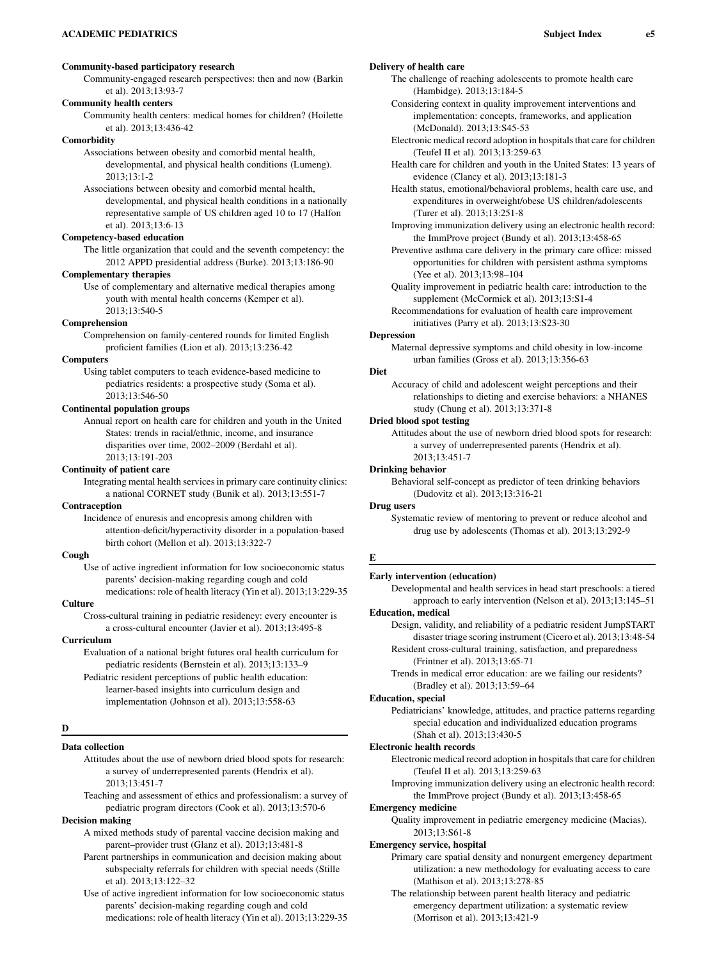# Community-based participatory research

Community-engaged research perspectives: then and now (Barkin et al). 2013;13:93-7

# Community health centers

Community health centers: medical homes for children? (Hoilette et al). 2013;13:436-42

# **Comorbidity**

Associations between obesity and comorbid mental health,

developmental, and physical health conditions (Lumeng). 2013;13:1-2

Associations between obesity and comorbid mental health, developmental, and physical health conditions in a nationally representative sample of US children aged 10 to 17 (Halfon et al). 2013;13:6-13

# Competency-based education

The little organization that could and the seventh competency: the 2012 APPD presidential address (Burke). 2013;13:186-90

# Complementary therapies

Use of complementary and alternative medical therapies among youth with mental health concerns (Kemper et al). 2013;13:540-5

#### Comprehension

Comprehension on family-centered rounds for limited English proficient families (Lion et al). 2013;13:236-42

#### Computers

Using tablet computers to teach evidence-based medicine to pediatrics residents: a prospective study (Soma et al). 2013;13:546-50

## Continental population groups

Annual report on health care for children and youth in the United States: trends in racial/ethnic, income, and insurance disparities over time, 2002–2009 (Berdahl et al). 2013;13:191-203

## Continuity of patient care

Integrating mental health services in primary care continuity clinics: a national CORNET study (Bunik et al). 2013;13:551-7

## Contraception

Incidence of enuresis and encopresis among children with attention-deficit/hyperactivity disorder in a population-based birth cohort (Mellon et al). 2013;13:322-7

## Cough

Use of active ingredient information for low socioeconomic status parents' decision-making regarding cough and cold medications: role of health literacy (Yin et al). 2013;13:229-35

# **Culture**

Cross-cultural training in pediatric residency: every encounter is a cross-cultural encounter (Javier et al). 2013;13:495-8

## Curriculum

Evaluation of a national bright futures oral health curriculum for pediatric residents (Bernstein et al). 2013;13:133–9

Pediatric resident perceptions of public health education: learner-based insights into curriculum design and implementation (Johnson et al). 2013;13:558-63

### D

# Data collection

Attitudes about the use of newborn dried blood spots for research: a survey of underrepresented parents (Hendrix et al). 2013;13:451-7

Teaching and assessment of ethics and professionalism: a survey of pediatric program directors (Cook et al). 2013;13:570-6

# Decision making

- A mixed methods study of parental vaccine decision making and parent–provider trust (Glanz et al). 2013;13:481-8
- Parent partnerships in communication and decision making about subspecialty referrals for children with special needs (Stille et al). 2013;13:122–32
- Use of active ingredient information for low socioeconomic status parents' decision-making regarding cough and cold medications: role of health literacy (Yin et al). 2013;13:229-35

## Delivery of health care

The challenge of reaching adolescents to promote health care (Hambidge). 2013;13:184-5

- Considering context in quality improvement interventions and implementation: concepts, frameworks, and application (McDonald). 2013;13:S45-53
- Electronic medical record adoption in hospitals that care for children (Teufel II et al). 2013;13:259-63
- Health care for children and youth in the United States: 13 years of evidence (Clancy et al). 2013;13:181-3

Health status, emotional/behavioral problems, health care use, and expenditures in overweight/obese US children/adolescents (Turer et al). 2013;13:251-8

Improving immunization delivery using an electronic health record: the ImmProve project (Bundy et al). 2013;13:458-65

- Preventive asthma care delivery in the primary care office: missed opportunities for children with persistent asthma symptoms (Yee et al). 2013;13:98–104
- Quality improvement in pediatric health care: introduction to the supplement (McCormick et al). 2013;13:S1-4

Recommendations for evaluation of health care improvement initiatives (Parry et al). 2013;13:S23-30

#### Depression

Maternal depressive symptoms and child obesity in low-income urban families (Gross et al). 2013;13:356-63

## Diet

Accuracy of child and adolescent weight perceptions and their relationships to dieting and exercise behaviors: a NHANES study (Chung et al). 2013;13:371-8

#### Dried blood spot testing

Attitudes about the use of newborn dried blood spots for research: a survey of underrepresented parents (Hendrix et al). 2013;13:451-7

#### Drinking behavior

Behavioral self-concept as predictor of teen drinking behaviors (Dudovitz et al). 2013;13:316-21

#### Drug users

Systematic review of mentoring to prevent or reduce alcohol and drug use by adolescents (Thomas et al). 2013;13:292-9

#### E

## Early intervention (education)

Developmental and health services in head start preschools: a tiered approach to early intervention (Nelson et al). 2013;13:145–51

# Education, medical

Design, validity, and reliability of a pediatric resident JumpSTART disaster triage scoring instrument (Cicero et al). 2013;13:48-54 Resident cross-cultural training, satisfaction, and preparedness

(Frintner et al). 2013;13:65-71

Trends in medical error education: are we failing our residents? (Bradley et al). 2013;13:59–64

#### Education, special

Pediatricians' knowledge, attitudes, and practice patterns regarding special education and individualized education programs (Shah et al). 2013;13:430-5

#### Electronic health records

Electronic medical record adoption in hospitals that care for children (Teufel II et al). 2013;13:259-63

Improving immunization delivery using an electronic health record: the ImmProve project (Bundy et al). 2013;13:458-65

## Emergency medicine

Quality improvement in pediatric emergency medicine (Macias). 2013;13:S61-8

## Emergency service, hospital

- Primary care spatial density and nonurgent emergency department utilization: a new methodology for evaluating access to care (Mathison et al). 2013;13:278-85
- The relationship between parent health literacy and pediatric emergency department utilization: a systematic review (Morrison et al). 2013;13:421-9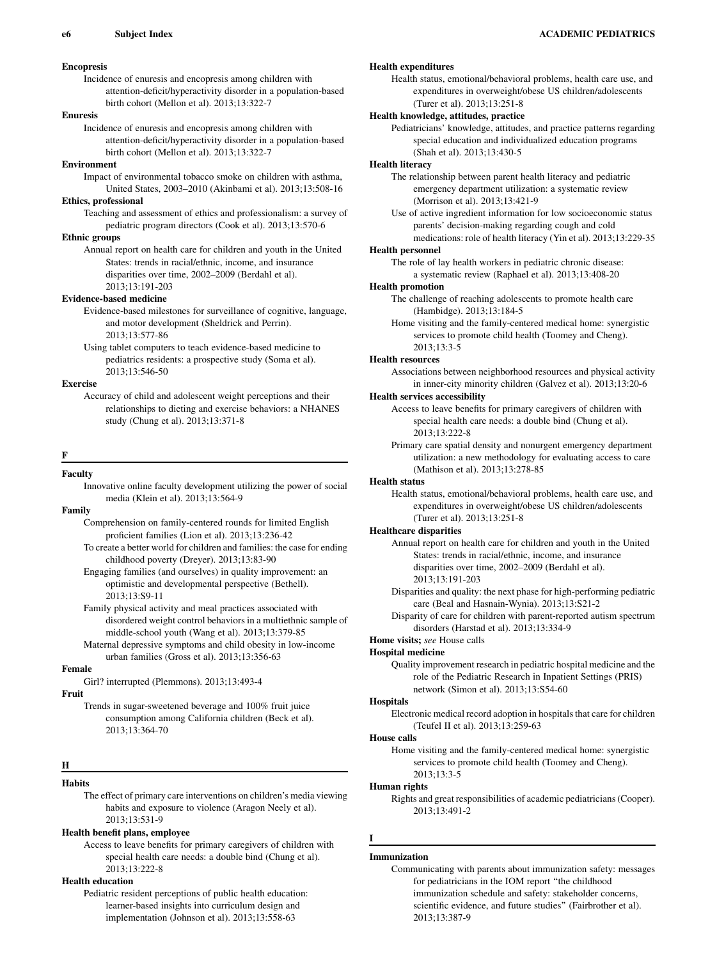# Encopresis

Incidence of enuresis and encopresis among children with attention-deficit/hyperactivity disorder in a population-based birth cohort (Mellon et al). 2013;13:322-7

# Enuresis

Incidence of enuresis and encopresis among children with attention-deficit/hyperactivity disorder in a population-based birth cohort (Mellon et al). 2013;13:322-7

## Environment

Impact of environmental tobacco smoke on children with asthma, United States, 2003–2010 (Akinbami et al). 2013;13:508-16

# Ethics, professional

Teaching and assessment of ethics and professionalism: a survey of pediatric program directors (Cook et al). 2013;13:570-6

# Ethnic groups

Annual report on health care for children and youth in the United States: trends in racial/ethnic, income, and insurance disparities over time, 2002–2009 (Berdahl et al). 2013;13:191-203

## Evidence-based medicine

Evidence-based milestones for surveillance of cognitive, language, and motor development (Sheldrick and Perrin). 2013;13:577-86

Using tablet computers to teach evidence-based medicine to pediatrics residents: a prospective study (Soma et al). 2013;13:546-50

## Exercise

Accuracy of child and adolescent weight perceptions and their relationships to dieting and exercise behaviors: a NHANES study (Chung et al). 2013;13:371-8

#### F

# Faculty

## Family

Comprehension on family-centered rounds for limited English proficient families (Lion et al). 2013;13:236-42 To create a better world for children and families: the case for ending

childhood poverty (Dreyer). 2013;13:83-90

Engaging families (and ourselves) in quality improvement: an optimistic and developmental perspective (Bethell). 2013;13:S9-11

Family physical activity and meal practices associated with disordered weight control behaviors in a multiethnic sample of middle-school youth (Wang et al). 2013;13:379-85

Maternal depressive symptoms and child obesity in low-income urban families (Gross et al). 2013;13:356-63

# Female

Girl? interrupted (Plemmons). 2013;13:493-4

# Fruit

Trends in sugar-sweetened beverage and 100% fruit juice consumption among California children (Beck et al). 2013;13:364-70

## H

# **Habits**

The effect of primary care interventions on children's media viewing habits and exposure to violence (Aragon Neely et al). 2013;13:531-9

## Health benefit plans, employee

Access to leave benefits for primary caregivers of children with special health care needs: a double bind (Chung et al). 2013;13:222-8

# Health education

Pediatric resident perceptions of public health education: learner-based insights into curriculum design and implementation (Johnson et al). 2013;13:558-63

# Health expenditures

Health status, emotional/behavioral problems, health care use, and expenditures in overweight/obese US children/adolescents (Turer et al). 2013;13:251-8

# Health knowledge, attitudes, practice

Pediatricians' knowledge, attitudes, and practice patterns regarding special education and individualized education programs (Shah et al). 2013;13:430-5

# Health literacy

The relationship between parent health literacy and pediatric emergency department utilization: a systematic review (Morrison et al). 2013;13:421-9

Use of active ingredient information for low socioeconomic status parents' decision-making regarding cough and cold medications: role of health literacy (Yin et al). 2013;13:229-35

#### Health personnel

The role of lay health workers in pediatric chronic disease: a systematic review (Raphael et al). 2013;13:408-20

### Health promotion

The challenge of reaching adolescents to promote health care (Hambidge). 2013;13:184-5

Home visiting and the family-centered medical home: synergistic services to promote child health (Toomey and Cheng). 2013;13:3-5

# Health resources

Associations between neighborhood resources and physical activity in inner-city minority children (Galvez et al). 2013;13:20-6

## Health services accessibility

Access to leave benefits for primary caregivers of children with special health care needs: a double bind (Chung et al). 2013;13:222-8

Primary care spatial density and nonurgent emergency department utilization: a new methodology for evaluating access to care (Mathison et al). 2013;13:278-85

## Health status

Health status, emotional/behavioral problems, health care use, and expenditures in overweight/obese US children/adolescents (Turer et al). 2013;13:251-8

#### Healthcare disparities

Annual report on health care for children and youth in the United States: trends in racial/ethnic, income, and insurance disparities over time, 2002–2009 (Berdahl et al). 2013;13:191-203

Disparities and quality: the next phase for high-performing pediatric care (Beal and Hasnain-Wynia). 2013;13:S21-2

Disparity of care for children with parent-reported autism spectrum disorders (Harstad et al). 2013;13:334-9

# Home visits; see House calls

Hospital medicine

Quality improvement research in pediatric hospital medicine and the role of the Pediatric Research in Inpatient Settings (PRIS) network (Simon et al). 2013;13:S54-60

## **Hospitals**

Electronic medical record adoption in hospitals that care for children (Teufel II et al). 2013;13:259-63

## House calls

Home visiting and the family-centered medical home: synergistic services to promote child health (Toomey and Cheng). 2013;13:3-5

#### Human rights

Rights and great responsibilities of academic pediatricians (Cooper). 2013;13:491-2

#### Immunization

I

Communicating with parents about immunization safety: messages for pediatricians in the IOM report ''the childhood immunization schedule and safety: stakeholder concerns, scientific evidence, and future studies'' (Fairbrother et al). 2013;13:387-9

Innovative online faculty development utilizing the power of social media (Klein et al). 2013;13:564-9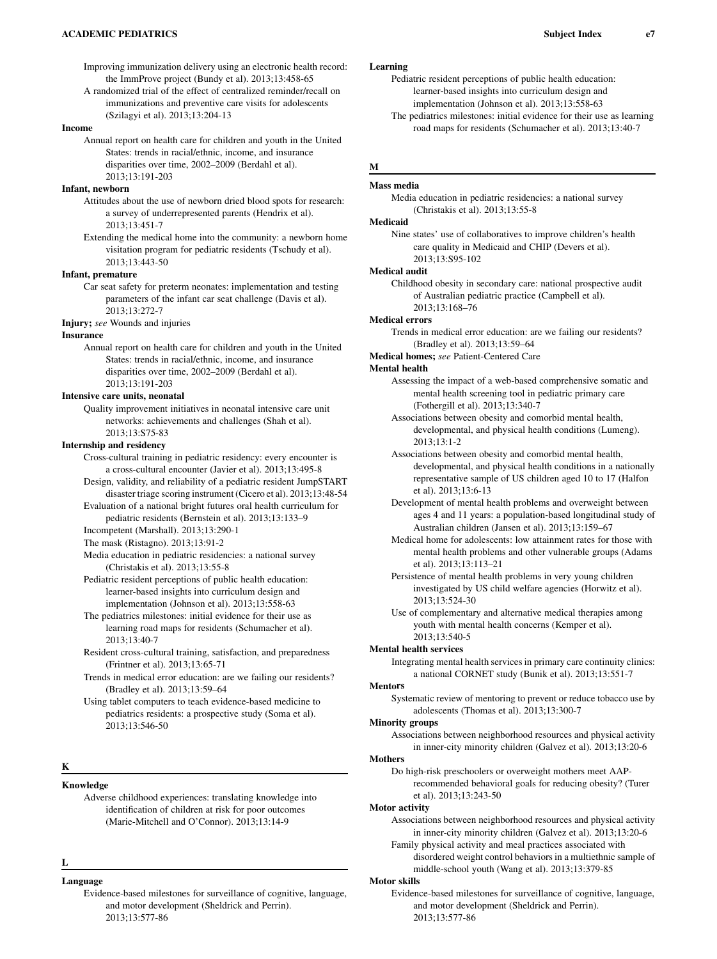## ACADEMIC PEDIATRICS **EXECUTE:** The state of the state of the state of the state of the state of the state of the state of the state of the state of the state of the state of the state of the state of the state of the state

Improving immunization delivery using an electronic health record: the ImmProve project (Bundy et al). 2013;13:458-65

A randomized trial of the effect of centralized reminder/recall on immunizations and preventive care visits for adolescents (Szilagyi et al). 2013;13:204-13

## Income

Annual report on health care for children and youth in the United States: trends in racial/ethnic, income, and insurance disparities over time, 2002–2009 (Berdahl et al). 2013;13:191-203

# Infant, newborn

Attitudes about the use of newborn dried blood spots for research: a survey of underrepresented parents (Hendrix et al). 2013;13:451-7

Extending the medical home into the community: a newborn home visitation program for pediatric residents (Tschudy et al). 2013;13:443-50

#### Infant, premature

Car seat safety for preterm neonates: implementation and testing parameters of the infant car seat challenge (Davis et al). 2013;13:272-7

Injury; see Wounds and injuries

#### **Insurance**

Annual report on health care for children and youth in the United States: trends in racial/ethnic, income, and insurance disparities over time, 2002–2009 (Berdahl et al). 2013;13:191-203

#### Intensive care units, neonatal

Quality improvement initiatives in neonatal intensive care unit networks: achievements and challenges (Shah et al). 2013;13:S75-83

## Internship and residency

- Cross-cultural training in pediatric residency: every encounter is a cross-cultural encounter (Javier et al). 2013;13:495-8
- Design, validity, and reliability of a pediatric resident JumpSTART disaster triage scoring instrument (Cicero et al). 2013;13:48-54
- Evaluation of a national bright futures oral health curriculum for pediatric residents (Bernstein et al). 2013;13:133–9
- Incompetent (Marshall). 2013;13:290-1
- The mask (Ristagno). 2013;13:91-2

Media education in pediatric residencies: a national survey (Christakis et al). 2013;13:55-8

- Pediatric resident perceptions of public health education: learner-based insights into curriculum design and implementation (Johnson et al). 2013;13:558-63
- The pediatrics milestones: initial evidence for their use as learning road maps for residents (Schumacher et al). 2013;13:40-7
- Resident cross-cultural training, satisfaction, and preparedness (Frintner et al). 2013;13:65-71
- Trends in medical error education: are we failing our residents? (Bradley et al). 2013;13:59–64

Using tablet computers to teach evidence-based medicine to pediatrics residents: a prospective study (Soma et al). 2013;13:546-50

## K

# Knowledge

Adverse childhood experiences: translating knowledge into identification of children at risk for poor outcomes (Marie-Mitchell and O'Connor). 2013;13:14-9

- L
- Language
	- Evidence-based milestones for surveillance of cognitive, language, and motor development (Sheldrick and Perrin). 2013;13:577-86

# Learning

- Pediatric resident perceptions of public health education: learner-based insights into curriculum design and implementation (Johnson et al). 2013;13:558-63
- The pediatrics milestones: initial evidence for their use as learning road maps for residents (Schumacher et al). 2013;13:40-7

# M

# Mass media

Media education in pediatric residencies: a national survey (Christakis et al). 2013;13:55-8

# Medicaid

Nine states' use of collaboratives to improve children's health care quality in Medicaid and CHIP (Devers et al). 2013;13:S95-102

### Medical audit

Childhood obesity in secondary care: national prospective audit of Australian pediatric practice (Campbell et al). 2013;13:168–76

## Medical errors

Trends in medical error education: are we failing our residents? (Bradley et al). 2013;13:59–64

Medical homes; see Patient-Centered Care

#### Mental health

Assessing the impact of a web-based comprehensive somatic and mental health screening tool in pediatric primary care (Fothergill et al). 2013;13:340-7

Associations between obesity and comorbid mental health, developmental, and physical health conditions (Lumeng). 2013;13:1-2

- Associations between obesity and comorbid mental health, developmental, and physical health conditions in a nationally representative sample of US children aged 10 to 17 (Halfon et al). 2013;13:6-13
- Development of mental health problems and overweight between ages 4 and 11 years: a population-based longitudinal study of Australian children (Jansen et al). 2013;13:159–67
- Medical home for adolescents: low attainment rates for those with mental health problems and other vulnerable groups (Adams et al). 2013;13:113–21
- Persistence of mental health problems in very young children investigated by US child welfare agencies (Horwitz et al). 2013;13:524-30
- Use of complementary and alternative medical therapies among youth with mental health concerns (Kemper et al). 2013;13:540-5

## Mental health services

Integrating mental health services in primary care continuity clinics: a national CORNET study (Bunik et al). 2013;13:551-7

## **Mentors**

Systematic review of mentoring to prevent or reduce tobacco use by adolescents (Thomas et al). 2013;13:300-7

## Minority groups

Associations between neighborhood resources and physical activity in inner-city minority children (Galvez et al). 2013;13:20-6

# **Mothers**

Do high-risk preschoolers or overweight mothers meet AAPrecommended behavioral goals for reducing obesity? (Turer et al). 2013;13:243-50

#### Motor activity

Associations between neighborhood resources and physical activity in inner-city minority children (Galvez et al). 2013;13:20-6

Family physical activity and meal practices associated with disordered weight control behaviors in a multiethnic sample of middle-school youth (Wang et al). 2013;13:379-85

## Motor skills

Evidence-based milestones for surveillance of cognitive, language, and motor development (Sheldrick and Perrin). 2013;13:577-86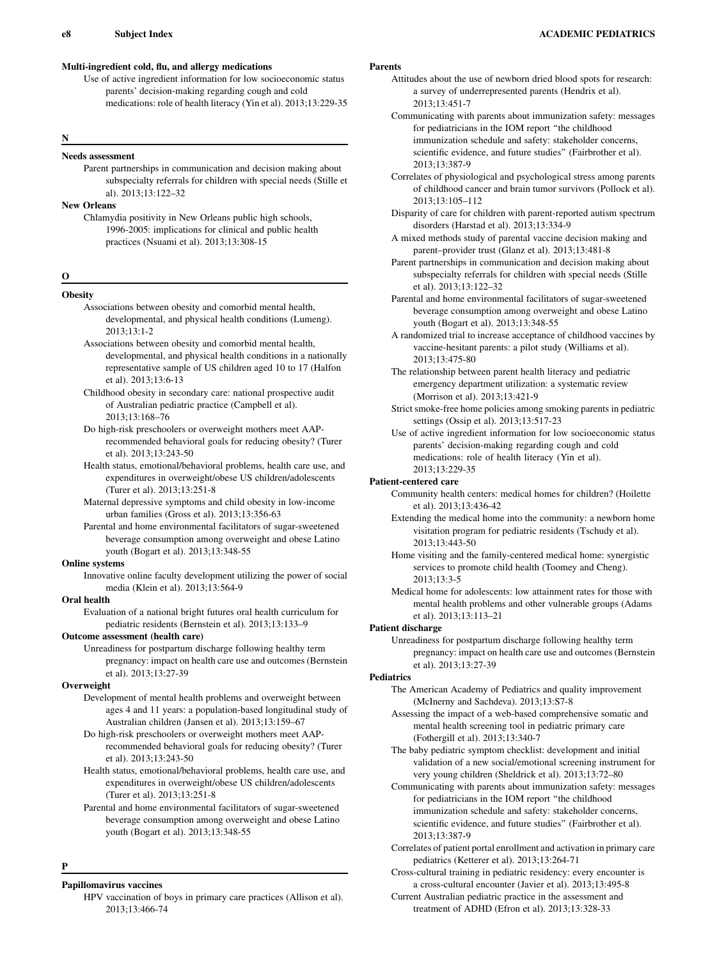# Multi-ingredient cold, flu, and allergy medications

Use of active ingredient information for low socioeconomic status parents' decision-making regarding cough and cold medications: role of health literacy (Yin et al). 2013;13:229-35

# N

## Needs assessment

Parent partnerships in communication and decision making about subspecialty referrals for children with special needs (Stille et al). 2013;13:122–32

# New Orleans

Chlamydia positivity in New Orleans public high schools, 1996-2005: implications for clinical and public health practices (Nsuami et al). 2013;13:308-15

# O

# **Obesity**

- Associations between obesity and comorbid mental health, developmental, and physical health conditions (Lumeng). 2013;13:1-2
- Associations between obesity and comorbid mental health, developmental, and physical health conditions in a nationally representative sample of US children aged 10 to 17 (Halfon et al). 2013;13:6-13
- Childhood obesity in secondary care: national prospective audit of Australian pediatric practice (Campbell et al). 2013;13:168–76
- Do high-risk preschoolers or overweight mothers meet AAPrecommended behavioral goals for reducing obesity? (Turer et al). 2013;13:243-50
- Health status, emotional/behavioral problems, health care use, and expenditures in overweight/obese US children/adolescents (Turer et al). 2013;13:251-8
- Maternal depressive symptoms and child obesity in low-income urban families (Gross et al). 2013;13:356-63
- Parental and home environmental facilitators of sugar-sweetened beverage consumption among overweight and obese Latino youth (Bogart et al). 2013;13:348-55

## Online systems

Innovative online faculty development utilizing the power of social media (Klein et al). 2013;13:564-9

## Oral health

Evaluation of a national bright futures oral health curriculum for pediatric residents (Bernstein et al). 2013;13:133–9

# Outcome assessment (health care)

Unreadiness for postpartum discharge following healthy term pregnancy: impact on health care use and outcomes (Bernstein et al). 2013;13:27-39

## **Overweight**

- Development of mental health problems and overweight between ages 4 and 11 years: a population-based longitudinal study of Australian children (Jansen et al). 2013;13:159–67
- Do high-risk preschoolers or overweight mothers meet AAPrecommended behavioral goals for reducing obesity? (Turer et al). 2013;13:243-50
- Health status, emotional/behavioral problems, health care use, and expenditures in overweight/obese US children/adolescents (Turer et al). 2013;13:251-8
- Parental and home environmental facilitators of sugar-sweetened beverage consumption among overweight and obese Latino youth (Bogart et al). 2013;13:348-55

#### P

Papillomavirus vaccines

HPV vaccination of boys in primary care practices (Allison et al). 2013;13:466-74

# Parents

- Attitudes about the use of newborn dried blood spots for research: a survey of underrepresented parents (Hendrix et al). 2013;13:451-7
- Communicating with parents about immunization safety: messages for pediatricians in the IOM report ''the childhood immunization schedule and safety: stakeholder concerns, scientific evidence, and future studies'' (Fairbrother et al). 2013;13:387-9
- Correlates of physiological and psychological stress among parents of childhood cancer and brain tumor survivors (Pollock et al). 2013;13:105–112
- Disparity of care for children with parent-reported autism spectrum disorders (Harstad et al). 2013;13:334-9
- A mixed methods study of parental vaccine decision making and parent–provider trust (Glanz et al). 2013;13:481-8
- Parent partnerships in communication and decision making about subspecialty referrals for children with special needs (Stille et al). 2013;13:122–32
- Parental and home environmental facilitators of sugar-sweetened beverage consumption among overweight and obese Latino youth (Bogart et al). 2013;13:348-55
- A randomized trial to increase acceptance of childhood vaccines by vaccine-hesitant parents: a pilot study (Williams et al). 2013;13:475-80
- The relationship between parent health literacy and pediatric emergency department utilization: a systematic review (Morrison et al). 2013;13:421-9
- Strict smoke-free home policies among smoking parents in pediatric settings (Ossip et al). 2013;13:517-23
- Use of active ingredient information for low socioeconomic status parents' decision-making regarding cough and cold medications: role of health literacy (Yin et al). 2013;13:229-35

## Patient-centered care

- Community health centers: medical homes for children? (Hoilette et al). 2013;13:436-42
- Extending the medical home into the community: a newborn home visitation program for pediatric residents (Tschudy et al). 2013;13:443-50
- Home visiting and the family-centered medical home: synergistic services to promote child health (Toomey and Cheng). 2013;13:3-5

Medical home for adolescents: low attainment rates for those with mental health problems and other vulnerable groups (Adams et al). 2013;13:113–21

## Patient discharge

Unreadiness for postpartum discharge following healthy term pregnancy: impact on health care use and outcomes (Bernstein et al). 2013;13:27-39

# Pediatrics

- The American Academy of Pediatrics and quality improvement (McInerny and Sachdeva). 2013;13:S7-8
- Assessing the impact of a web-based comprehensive somatic and mental health screening tool in pediatric primary care (Fothergill et al). 2013;13:340-7
- The baby pediatric symptom checklist: development and initial validation of a new social/emotional screening instrument for very young children (Sheldrick et al). 2013;13:72–80
- Communicating with parents about immunization safety: messages for pediatricians in the IOM report ''the childhood immunization schedule and safety: stakeholder concerns, scientific evidence, and future studies'' (Fairbrother et al). 2013;13:387-9
- Correlates of patient portal enrollment and activation in primary care pediatrics (Ketterer et al). 2013;13:264-71
- Cross-cultural training in pediatric residency: every encounter is a cross-cultural encounter (Javier et al). 2013;13:495-8
- Current Australian pediatric practice in the assessment and treatment of ADHD (Efron et al). 2013;13:328-33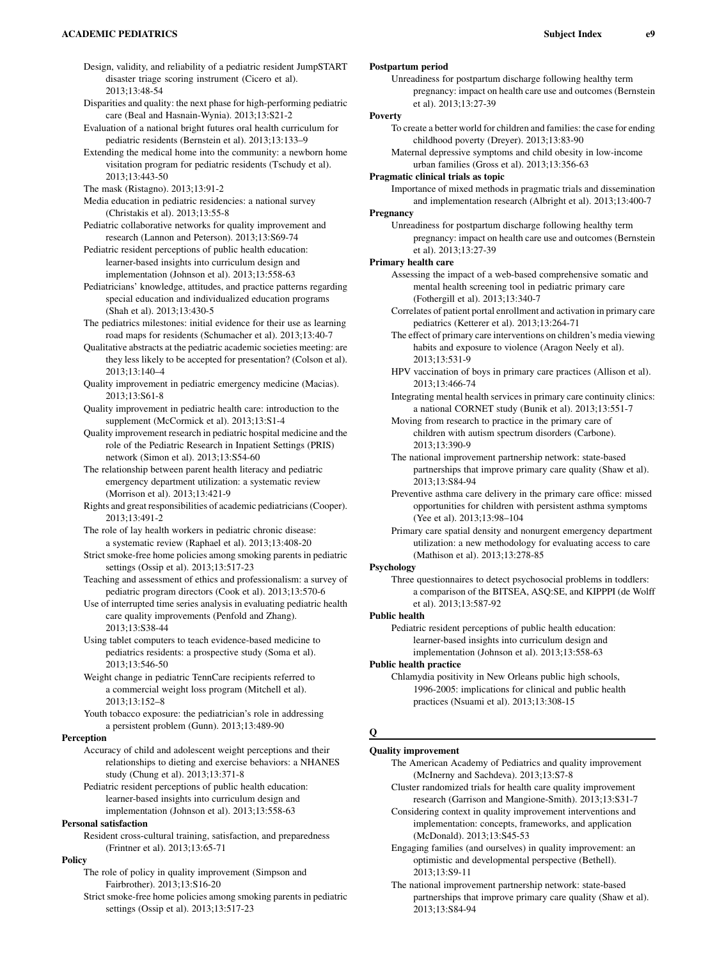## ACADEMIC PEDIATRICS Subject Index e9

- Design, validity, and reliability of a pediatric resident JumpSTART disaster triage scoring instrument (Cicero et al). 2013;13:48-54
- Disparities and quality: the next phase for high-performing pediatric care (Beal and Hasnain-Wynia). 2013;13:S21-2
- Evaluation of a national bright futures oral health curriculum for pediatric residents (Bernstein et al). 2013;13:133–9
- Extending the medical home into the community: a newborn home visitation program for pediatric residents (Tschudy et al). 2013;13:443-50
- The mask (Ristagno). 2013;13:91-2
- Media education in pediatric residencies: a national survey (Christakis et al). 2013;13:55-8
- Pediatric collaborative networks for quality improvement and research (Lannon and Peterson). 2013;13:S69-74
- Pediatric resident perceptions of public health education: learner-based insights into curriculum design and implementation (Johnson et al). 2013;13:558-63
- Pediatricians' knowledge, attitudes, and practice patterns regarding special education and individualized education programs (Shah et al). 2013;13:430-5
- The pediatrics milestones: initial evidence for their use as learning road maps for residents (Schumacher et al). 2013;13:40-7
- Qualitative abstracts at the pediatric academic societies meeting: are they less likely to be accepted for presentation? (Colson et al). 2013;13:140–4
- Quality improvement in pediatric emergency medicine (Macias). 2013;13:S61-8
- Quality improvement in pediatric health care: introduction to the supplement (McCormick et al). 2013;13:S1-4
- Quality improvement research in pediatric hospital medicine and the role of the Pediatric Research in Inpatient Settings (PRIS) network (Simon et al). 2013;13:S54-60
- The relationship between parent health literacy and pediatric emergency department utilization: a systematic review (Morrison et al). 2013;13:421-9
- Rights and great responsibilities of academic pediatricians (Cooper). 2013;13:491-2
- The role of lay health workers in pediatric chronic disease: a systematic review (Raphael et al). 2013;13:408-20
- Strict smoke-free home policies among smoking parents in pediatric settings (Ossip et al). 2013;13:517-23
- Teaching and assessment of ethics and professionalism: a survey of pediatric program directors (Cook et al). 2013;13:570-6
- Use of interrupted time series analysis in evaluating pediatric health care quality improvements (Penfold and Zhang). 2013;13:S38-44
- Using tablet computers to teach evidence-based medicine to pediatrics residents: a prospective study (Soma et al). 2013;13:546-50
- Weight change in pediatric TennCare recipients referred to a commercial weight loss program (Mitchell et al). 2013;13:152–8
- Youth tobacco exposure: the pediatrician's role in addressing a persistent problem (Gunn). 2013;13:489-90

## Perception

- Accuracy of child and adolescent weight perceptions and their relationships to dieting and exercise behaviors: a NHANES study (Chung et al). 2013;13:371-8
- Pediatric resident perceptions of public health education: learner-based insights into curriculum design and implementation (Johnson et al). 2013;13:558-63

## Personal satisfaction

Resident cross-cultural training, satisfaction, and preparedness (Frintner et al). 2013;13:65-71

# Policy

- The role of policy in quality improvement (Simpson and Fairbrother). 2013;13:S16-20
- Strict smoke-free home policies among smoking parents in pediatric settings (Ossip et al). 2013;13:517-23

# Postpartum period

Unreadiness for postpartum discharge following healthy term pregnancy: impact on health care use and outcomes (Bernstein et al). 2013;13:27-39

# Poverty

- To create a better world for children and families: the case for ending childhood poverty (Dreyer). 2013;13:83-90
- Maternal depressive symptoms and child obesity in low-income urban families (Gross et al). 2013;13:356-63

# Pragmatic clinical trials as topic

Importance of mixed methods in pragmatic trials and dissemination and implementation research (Albright et al). 2013;13:400-7

# **Pregnancy**

Unreadiness for postpartum discharge following healthy term pregnancy: impact on health care use and outcomes (Bernstein et al). 2013;13:27-39

## Primary health care

- Assessing the impact of a web-based comprehensive somatic and mental health screening tool in pediatric primary care (Fothergill et al). 2013;13:340-7
- Correlates of patient portal enrollment and activation in primary care pediatrics (Ketterer et al). 2013;13:264-71
- The effect of primary care interventions on children's media viewing habits and exposure to violence (Aragon Neely et al). 2013;13:531-9
- HPV vaccination of boys in primary care practices (Allison et al). 2013;13:466-74
- Integrating mental health services in primary care continuity clinics: a national CORNET study (Bunik et al). 2013;13:551-7

Moving from research to practice in the primary care of children with autism spectrum disorders (Carbone). 2013;13:390-9

- The national improvement partnership network: state-based partnerships that improve primary care quality (Shaw et al). 2013;13:S84-94
- Preventive asthma care delivery in the primary care office: missed opportunities for children with persistent asthma symptoms (Yee et al). 2013;13:98–104
- Primary care spatial density and nonurgent emergency department utilization: a new methodology for evaluating access to care (Mathison et al). 2013;13:278-85

## Psychology

Three questionnaires to detect psychosocial problems in toddlers: a comparison of the BITSEA, ASQ:SE, and KIPPPI (de Wolff et al). 2013;13:587-92

## Public health

Pediatric resident perceptions of public health education: learner-based insights into curriculum design and implementation (Johnson et al). 2013;13:558-63

# Public health practice

Chlamydia positivity in New Orleans public high schools, 1996-2005: implications for clinical and public health practices (Nsuami et al). 2013;13:308-15

## Q

# Quality improvement

- The American Academy of Pediatrics and quality improvement (McInerny and Sachdeva). 2013;13:S7-8
- Cluster randomized trials for health care quality improvement research (Garrison and Mangione-Smith). 2013;13:S31-7
- Considering context in quality improvement interventions and implementation: concepts, frameworks, and application (McDonald). 2013;13:S45-53
- Engaging families (and ourselves) in quality improvement: an optimistic and developmental perspective (Bethell). 2013;13:S9-11
- The national improvement partnership network: state-based partnerships that improve primary care quality (Shaw et al). 2013;13:S84-94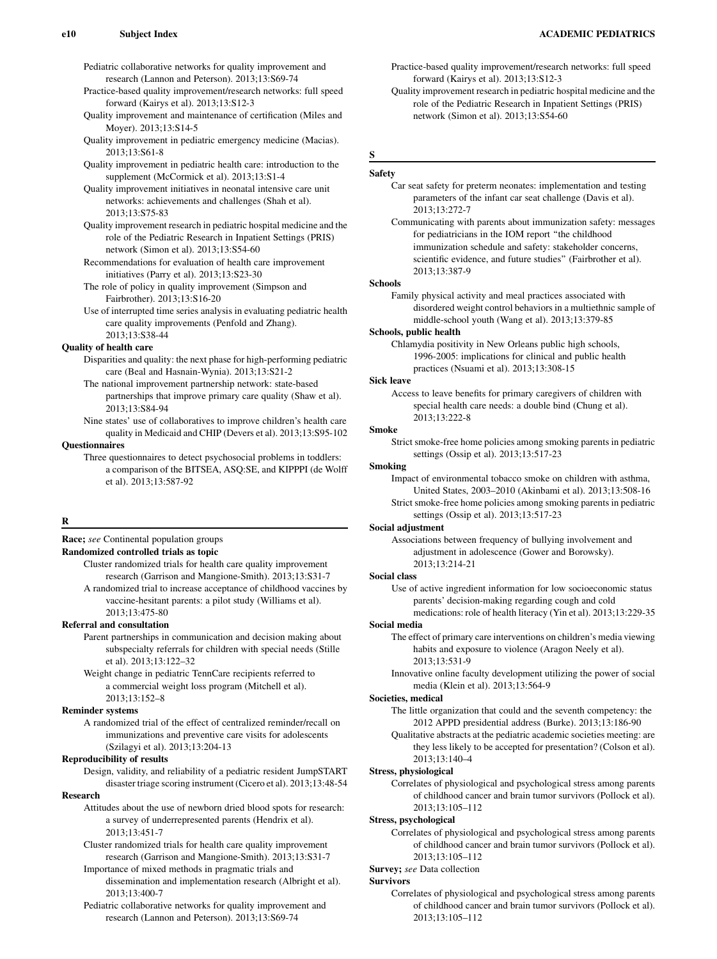Pediatric collaborative networks for quality improvement and research (Lannon and Peterson). 2013;13:S69-74

Practice-based quality improvement/research networks: full speed forward (Kairys et al). 2013;13:S12-3

Quality improvement and maintenance of certification (Miles and Moyer). 2013;13:S14-5

- Quality improvement in pediatric emergency medicine (Macias). 2013;13:S61-8
- Quality improvement in pediatric health care: introduction to the supplement (McCormick et al). 2013;13:S1-4

Quality improvement initiatives in neonatal intensive care unit networks: achievements and challenges (Shah et al). 2013;13:S75-83

- Quality improvement research in pediatric hospital medicine and the role of the Pediatric Research in Inpatient Settings (PRIS) network (Simon et al). 2013;13:S54-60
- Recommendations for evaluation of health care improvement initiatives (Parry et al). 2013;13:S23-30
- The role of policy in quality improvement (Simpson and Fairbrother). 2013;13:S16-20

Use of interrupted time series analysis in evaluating pediatric health care quality improvements (Penfold and Zhang). 2013;13:S38-44

# Quality of health care

Disparities and quality: the next phase for high-performing pediatric care (Beal and Hasnain-Wynia). 2013;13:S21-2

The national improvement partnership network: state-based partnerships that improve primary care quality (Shaw et al). 2013;13:S84-94

Nine states' use of collaboratives to improve children's health care quality in Medicaid and CHIP (Devers et al). 2013;13:S95-102

# **Ouestionnaires**

Three questionnaires to detect psychosocial problems in toddlers: a comparison of the BITSEA, ASQ:SE, and KIPPPI (de Wolff et al). 2013;13:587-92

# R

# Race; see Continental population groups

Randomized controlled trials as topic

Cluster randomized trials for health care quality improvement research (Garrison and Mangione-Smith). 2013;13:S31-7 A randomized trial to increase acceptance of childhood vaccines by

vaccine-hesitant parents: a pilot study (Williams et al). 2013;13:475-80

# Referral and consultation

Parent partnerships in communication and decision making about subspecialty referrals for children with special needs (Stille et al). 2013;13:122–32

Weight change in pediatric TennCare recipients referred to a commercial weight loss program (Mitchell et al). 2013;13:152–8

## Reminder systems

A randomized trial of the effect of centralized reminder/recall on immunizations and preventive care visits for adolescents (Szilagyi et al). 2013;13:204-13

## Reproducibility of results

Design, validity, and reliability of a pediatric resident JumpSTART disaster triage scoring instrument (Cicero et al). 2013;13:48-54

#### Research

Attitudes about the use of newborn dried blood spots for research: a survey of underrepresented parents (Hendrix et al). 2013;13:451-7

- Cluster randomized trials for health care quality improvement research (Garrison and Mangione-Smith). 2013;13:S31-7
- Importance of mixed methods in pragmatic trials and dissemination and implementation research (Albright et al). 2013;13:400-7

Pediatric collaborative networks for quality improvement and research (Lannon and Peterson). 2013;13:S69-74

# Practice-based quality improvement/research networks: full speed forward (Kairys et al). 2013;13:S12-3

Quality improvement research in pediatric hospital medicine and the role of the Pediatric Research in Inpatient Settings (PRIS) network (Simon et al). 2013;13:S54-60

# S

# Safety

# Car seat safety for preterm neonates: implementation and testing parameters of the infant car seat challenge (Davis et al). 2013;13:272-7

Communicating with parents about immunization safety: messages for pediatricians in the IOM report ''the childhood immunization schedule and safety: stakeholder concerns, scientific evidence, and future studies'' (Fairbrother et al). 2013;13:387-9

## Schools

Family physical activity and meal practices associated with disordered weight control behaviors in a multiethnic sample of middle-school youth (Wang et al). 2013;13:379-85

## Schools, public health

Chlamydia positivity in New Orleans public high schools, 1996-2005: implications for clinical and public health practices (Nsuami et al). 2013;13:308-15

# Sick leave

Access to leave benefits for primary caregivers of children with special health care needs: a double bind (Chung et al). 2013;13:222-8

#### Smoke

Strict smoke-free home policies among smoking parents in pediatric settings (Ossip et al). 2013;13:517-23

# Smoking

Impact of environmental tobacco smoke on children with asthma, United States, 2003–2010 (Akinbami et al). 2013;13:508-16 Strict smoke-free home policies among smoking parents in pediatric settings (Ossip et al). 2013;13:517-23

#### Social adjustment

Associations between frequency of bullying involvement and adjustment in adolescence (Gower and Borowsky). 2013;13:214-21

#### Social class

Use of active ingredient information for low socioeconomic status parents' decision-making regarding cough and cold

medications: role of health literacy (Yin et al). 2013;13:229-35 Social media

The effect of primary care interventions on children's media viewing habits and exposure to violence (Aragon Neely et al). 2013;13:531-9

Innovative online faculty development utilizing the power of social media (Klein et al). 2013;13:564-9

#### Societies, medical

The little organization that could and the seventh competency: the 2012 APPD presidential address (Burke). 2013;13:186-90

Qualitative abstracts at the pediatric academic societies meeting: are they less likely to be accepted for presentation? (Colson et al). 2013;13:140–4

#### Stress, physiological

Correlates of physiological and psychological stress among parents of childhood cancer and brain tumor survivors (Pollock et al). 2013;13:105–112

## Stress, psychological

Correlates of physiological and psychological stress among parents of childhood cancer and brain tumor survivors (Pollock et al). 2013;13:105–112

# Survey; see Data collection

# Survivors

Correlates of physiological and psychological stress among parents of childhood cancer and brain tumor survivors (Pollock et al). 2013;13:105–112